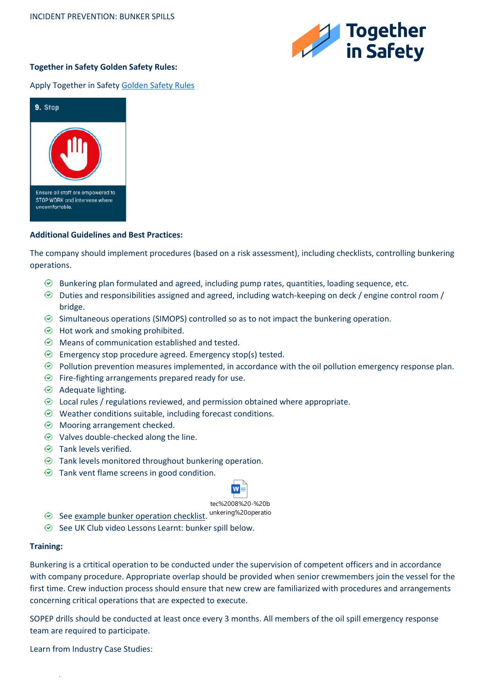

# **Together in Safety Golden Safety Rules:**

## Apply Together in Safet[y Golden Safety Rules](https://togetherinsafety.info/wp-content/uploads/2020/07/Golden-Safety-Rules.pdf)



#### **Additional Guidelines and Best Practices:**

The company should implement procedures (based on a risk assessment), including checklists, controlling bunkering operations.

- $\odot$  Bunkering plan formulated and agreed, including pump rates, quantities, loading sequence, etc.
- $\odot$  Duties and responsibilities assigned and agreed, including watch-keeping on deck / engine control room / bridge.
- $\odot$  Simultaneous operations (SIMOPS) controlled so as to not impact the bunkering operation.
- $\odot$  Hot work and smoking prohibited.
- $\odot$  Means of communication established and tested.
- $\odot$  Emergency stop procedure agreed. Emergency stop(s) tested.
- $\odot$  Pollution prevention measures implemented, in accordance with the oil pollution emergency response plan.
- $\odot$  Fire-fighting arrangements prepared ready for use.
- $\odot$  Adequate lighting.
- $\odot$  Local rules / regulations reviewed, and permission obtained where appropriate.
- $\odot$  Weather conditions suitable, including forecast conditions.
- Mooring arrangement checked.
- $\odot$  Valves double-checked along the line.
- $\odot$  Tank levels verified.
- $\odot$  Tank levels monitored throughout bunkering operation.
- $\odot$  Tank vent flame screens in good condition.



tec%2008%20-%20b

- See <u>example bunker operation checklist</u>. <sup>unkering%20operatio</sup>
- $\odot$  See UK Club video Lessons Learnt: bunker spill below.

#### **Training:**

Bunkering is a crtitical operation to be conducted under the supervision of competent officers and in accordance with company procedure. Appropriate overlap should be provided when senior crewmembers join the vessel for the first time. Crew induction process should ensure that new crew are familiarized with procedures and arrangements concerning critical operations that are expected to execute.

SOPEP drills should be conducted at least once every 3 months. All members of the oil spill emergency response team are required to participate.

Learn from Industry Case Studies:

.